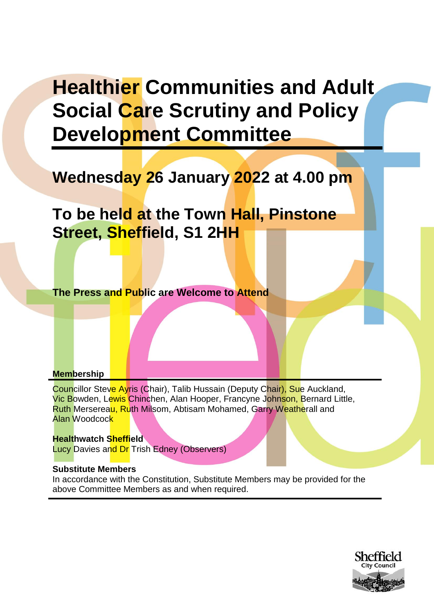# **Healthier Communities and Adult Social Care Scrutiny and Policy Development Committee**

# **Wednesday 26 January 2022 at 4.00 pm**

**To be held at the Town Hall, Pinstone Street, Sheffield, S1 2HH**

**The Press and Public are Welcome to Attend**

### **Membership**

Councillor Steve Ayris (Chair), Talib Hussain (Deputy Chair), Sue Auckland, Vic Bowden, Lewis Chinchen, Alan Hooper, Francyne Johnson, Bernard Little, Ruth Mersereau, Ruth Milsom, Abtisam Mohamed, Garry Weatherall and Alan Woodcock

**Healthwatch Sheffield Lucy Davies and Dr Trish Edney (Observers)** 

#### **Substitute Members**

In accordance with the Constitution, Substitute Members may be provided for the above Committee Members as and when required.

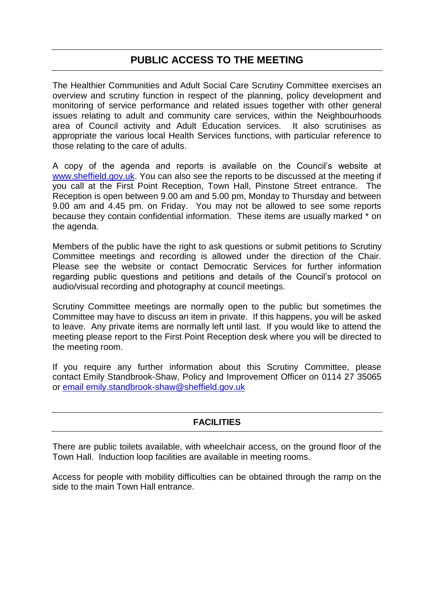# **PUBLIC ACCESS TO THE MEETING**

The Healthier Communities and Adult Social Care Scrutiny Committee exercises an overview and scrutiny function in respect of the planning, policy development and monitoring of service performance and related issues together with other general issues relating to adult and community care services, within the Neighbourhoods area of Council activity and Adult Education services. It also scrutinises as appropriate the various local Health Services functions, with particular reference to those relating to the care of adults.

A copy of the agenda and reports is available on the Council's website at [www.sheffield.gov.uk.](http://www.sheffield.gov.uk/) You can also see the reports to be discussed at the meeting if you call at the First Point Reception, Town Hall, Pinstone Street entrance. The Reception is open between 9.00 am and 5.00 pm, Monday to Thursday and between 9.00 am and 4.45 pm. on Friday. You may not be allowed to see some reports because they contain confidential information. These items are usually marked \* on the agenda.

Members of the public have the right to ask questions or submit petitions to Scrutiny Committee meetings and recording is allowed under the direction of the Chair. Please see the website or contact Democratic Services for further information regarding public questions and petitions and details of the Council's protocol on audio/visual recording and photography at council meetings.

Scrutiny Committee meetings are normally open to the public but sometimes the Committee may have to discuss an item in private. If this happens, you will be asked to leave. Any private items are normally left until last. If you would like to attend the meeting please report to the First Point Reception desk where you will be directed to the meeting room.

If you require any further information about this Scrutiny Committee, please contact Emily Standbrook-Shaw, Policy and Improvement Officer on 0114 27 35065 or [email emily.standbrook-shaw@sheffield.gov.uk](mailto:email%20emily.standbrook-shaw@sheffield.gov.uk)

# **FACILITIES**

There are public toilets available, with wheelchair access, on the ground floor of the Town Hall. Induction loop facilities are available in meeting rooms.

Access for people with mobility difficulties can be obtained through the ramp on the side to the main Town Hall entrance.